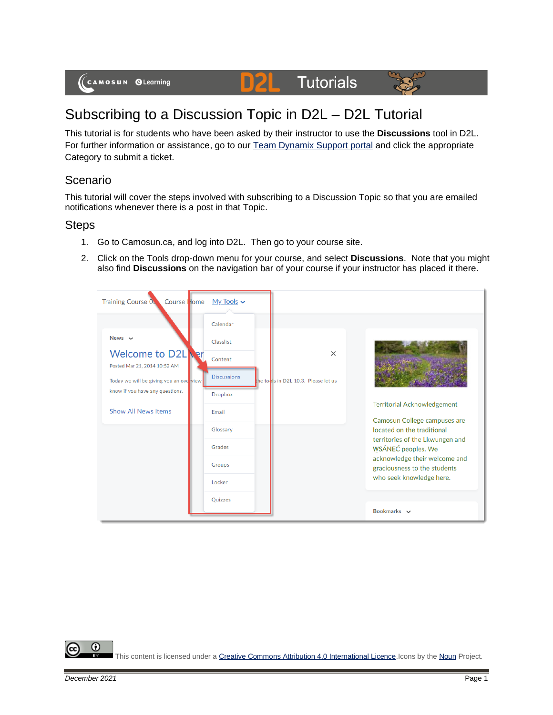(CAMOSUN @Learning

## Subscribing to a Discussion Topic in D2L – D2L Tutorial

DZI

This tutorial is for students who have been asked by their instructor to use the **Discussions** tool in D2L. For further information or assistance, go to our [Team Dynamix Support portal](https://camosun.teamdynamix.com/TDClient/67/Portal/Requests/ServiceCatalog?CategoryID=524) and click the appropriate Category to submit a ticket.

**Tutorials** 

## Scenario

This tutorial will cover the steps involved with subscribing to a Discussion Topic so that you are emailed notifications whenever there is a post in that Topic.

## Steps

- 1. Go to Camosun.ca, and log into D2L. Then go to your course site.
- 2. Click on the Tools drop-down menu for your course, and select **Discussions**. Note that you might also find **Discussions** on the navigation bar of your course if your instructor has placed it there.



⋒

This content is licensed under [a Creative Commons Attribution 4.0 International Licence.I](https://creativecommons.org/licenses/by/4.0/)cons by th[e Noun](https://creativecommons.org/website-icons/) Project.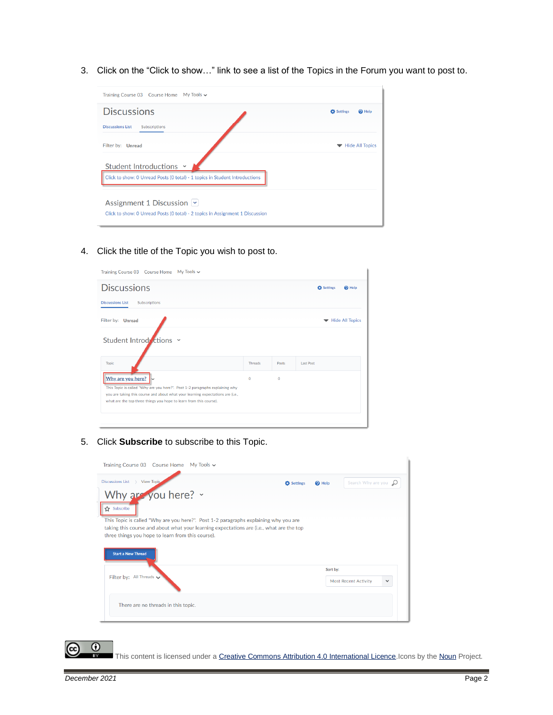3. Click on the "Click to show…" link to see a list of the Topics in the Forum you want to post to.

| My Tools $\sim$<br>Training Course 03 Course Home                                                                              |                               |
|--------------------------------------------------------------------------------------------------------------------------------|-------------------------------|
| <b>Discussions</b>                                                                                                             | Settings<br><sup>O</sup> Help |
| <b>Discussions List</b><br>Subscriptions                                                                                       |                               |
| Filter by: Unread                                                                                                              | <b>Hide All Topics</b>        |
| Student Introductions Y                                                                                                        |                               |
| Click to show: 0 Unread Posts (0 total) - 1 topics in Student Introductions                                                    |                               |
| Assignment 1 Discussion $\lvert \cdot \rvert$<br>Click to show: 0 Unread Posts (0 total) - 2 topics in Assignment 1 Discussion |                               |

4. Click the title of the Topic you wish to post to.

| My Tools $\sim$<br>Training Course 03 Course Home                                                                                                                                                                                                          |                |          |                               |
|------------------------------------------------------------------------------------------------------------------------------------------------------------------------------------------------------------------------------------------------------------|----------------|----------|-------------------------------|
| <b>Discussions</b>                                                                                                                                                                                                                                         |                |          | Settings<br><sup>O</sup> Help |
| <b>Discussions List</b><br>Subscriptions                                                                                                                                                                                                                   |                |          |                               |
| Filter by: Unread                                                                                                                                                                                                                                          |                |          | Hide All Topics               |
| Student Introductions Y                                                                                                                                                                                                                                    |                |          |                               |
| <b>Topic</b>                                                                                                                                                                                                                                               | <b>Threads</b> | Posts    | <b>Last Post</b>              |
| Why are you here?<br>This Topic is called "Why are you here?". Post 1-2 paragraphs explaining why<br>you are taking this course and about what your learning expectations are (i.e.,<br>what are the top three things you hope to learn from this course). | $\Omega$       | $\Omega$ |                               |
|                                                                                                                                                                                                                                                            |                |          |                               |

5. Click **Subscribe** to subscribe to this Topic.

| My Tools $\sim$<br>Training Course 03 Course Home                                                                                                                                                                                                                                                      |                   |                   |                             |              |
|--------------------------------------------------------------------------------------------------------------------------------------------------------------------------------------------------------------------------------------------------------------------------------------------------------|-------------------|-------------------|-----------------------------|--------------|
| Discussions List > View Topic                                                                                                                                                                                                                                                                          | <b>D</b> Settings | <sup>O</sup> Help | Search Why are you          |              |
| Why are you here? v<br>Subscribe<br>This Topic is called "Why are you here?". Post 1-2 paragraphs explaining why you are<br>taking this course and about what your learning expectations are (i.e., what are the top<br>three things you hope to learn from this course).<br><b>Start a New Thread</b> |                   |                   |                             |              |
| Filter by: All Threads                                                                                                                                                                                                                                                                                 |                   | Sort by:          | <b>Most Recent Activity</b> | $\checkmark$ |
| There are no threads in this topic.                                                                                                                                                                                                                                                                    |                   |                   |                             |              |

 $\odot$ 

This content is licensed under [a Creative Commons Attribution 4.0 International Licence.I](https://creativecommons.org/licenses/by/4.0/)cons by th[e Noun](https://creativecommons.org/website-icons/) Project.